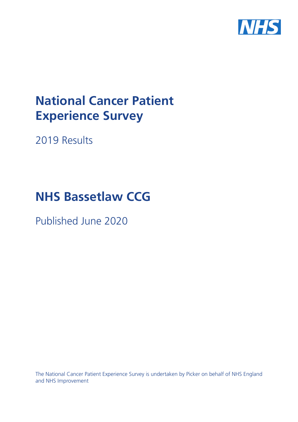

# **National Cancer Patient Experience Survey**

2019 Results

# **NHS Bassetlaw CCG**

Published June 2020

The National Cancer Patient Experience Survey is undertaken by Picker on behalf of NHS England and NHS Improvement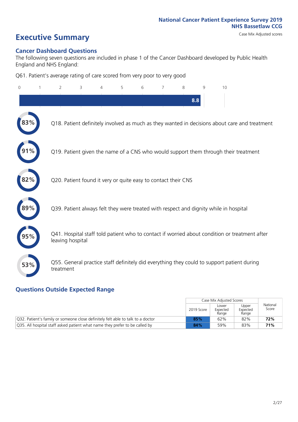# **Executive Summary** Case Mix Adjusted scores

### **Cancer Dashboard Questions**

The following seven questions are included in phase 1 of the Cancer Dashboard developed by Public Health England and NHS England:

Q61. Patient's average rating of care scored from very poor to very good

| 0   | $\overline{2}$                                                | 3 | $\overline{4}$ | 5 | 6 | 7 | 8 | 9   | 10                                                                                            |  |
|-----|---------------------------------------------------------------|---|----------------|---|---|---|---|-----|-----------------------------------------------------------------------------------------------|--|
|     |                                                               |   |                |   |   |   |   | 8.8 |                                                                                               |  |
|     |                                                               |   |                |   |   |   |   |     | Q18. Patient definitely involved as much as they wanted in decisions about care and treatment |  |
|     |                                                               |   |                |   |   |   |   |     | Q19. Patient given the name of a CNS who would support them through their treatment           |  |
| 82% | Q20. Patient found it very or quite easy to contact their CNS |   |                |   |   |   |   |     |                                                                                               |  |
| 89% |                                                               |   |                |   |   |   |   |     | Q39. Patient always felt they were treated with respect and dignity while in hospital         |  |
|     | leaving hospital                                              |   |                |   |   |   |   |     | Q41. Hospital staff told patient who to contact if worried about condition or treatment after |  |
| 53% | treatment                                                     |   |                |   |   |   |   |     | Q55. General practice staff definitely did everything they could to support patient during    |  |

### **Questions Outside Expected Range**

|                                                                                 |            | Case Mix Adjusted Scores   |                            |                   |
|---------------------------------------------------------------------------------|------------|----------------------------|----------------------------|-------------------|
|                                                                                 | 2019 Score | Lower<br>Expected<br>Range | Upper<br>Expected<br>Range | National<br>Score |
| Q32. Patient's family or someone close definitely felt able to talk to a doctor | 85%        | 62%                        | 82%                        | 72%               |
| Q35. All hospital staff asked patient what name they prefer to be called by     | 84%        | 59%                        | 83%                        | 71%               |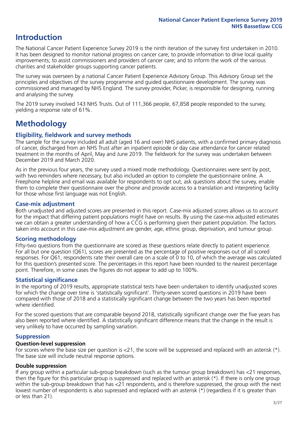## **Introduction**

The National Cancer Patient Experience Survey 2019 is the ninth iteration of the survey first undertaken in 2010. It has been designed to monitor national progress on cancer care; to provide information to drive local quality improvements; to assist commissioners and providers of cancer care; and to inform the work of the various charities and stakeholder groups supporting cancer patients.

The survey was overseen by a national Cancer Patient Experience Advisory Group. This Advisory Group set the principles and objectives of the survey programme and guided questionnaire development. The survey was commissioned and managed by NHS England. The survey provider, Picker, is responsible for designing, running and analysing the survey.

The 2019 survey involved 143 NHS Trusts. Out of 111,366 people, 67,858 people responded to the survey, yielding a response rate of 61%.

# **Methodology**

### **Eligibility, eldwork and survey methods**

The sample for the survey included all adult (aged 16 and over) NHS patients, with a confirmed primary diagnosis of cancer, discharged from an NHS Trust after an inpatient episode or day case attendance for cancer related treatment in the months of April, May and June 2019. The fieldwork for the survey was undertaken between December 2019 and March 2020.

As in the previous four years, the survey used a mixed mode methodology. Questionnaires were sent by post, with two reminders where necessary, but also included an option to complete the questionnaire online. A Freephone helpline and email was available for respondents to opt out, ask questions about the survey, enable them to complete their questionnaire over the phone and provide access to a translation and interpreting facility for those whose first language was not English.

### **Case-mix adjustment**

Both unadjusted and adjusted scores are presented in this report. Case-mix adjusted scores allows us to account for the impact that differing patient populations might have on results. By using the case-mix adjusted estimates we can obtain a greater understanding of how a CCG is performing given their patient population. The factors taken into account in this case-mix adjustment are gender, age, ethnic group, deprivation, and tumour group.

### **Scoring methodology**

Fifty-two questions from the questionnaire are scored as these questions relate directly to patient experience. For all but one question (Q61), scores are presented as the percentage of positive responses out of all scored responses. For Q61, respondents rate their overall care on a scale of 0 to 10, of which the average was calculated for this question's presented score. The percentages in this report have been rounded to the nearest percentage point. Therefore, in some cases the figures do not appear to add up to 100%.

### **Statistical significance**

In the reporting of 2019 results, appropriate statistical tests have been undertaken to identify unadjusted scores for which the change over time is 'statistically significant'. Thirty-seven scored questions in 2019 have been compared with those of 2018 and a statistically significant change between the two years has been reported where identified.

For the scored questions that are comparable beyond 2018, statistically significant change over the five years has also been reported where identified. A statistically significant difference means that the change in the result is very unlikely to have occurred by sampling variation.

### **Suppression**

### **Question-level suppression**

For scores where the base size per question is  $<$ 21, the score will be suppressed and replaced with an asterisk (\*). The base size will include neutral response options.

### **Double suppression**

If any group within a particular sub-group breakdown (such as the tumour group breakdown) has <21 responses, then the figure for this particular group is suppressed and replaced with an asterisk (\*). If there is only one group within the sub-group breakdown that has <21 respondents, and is therefore suppressed, the group with the next lowest number of respondents is also supressed and replaced with an asterisk (\*) (regardless if it is greater than or less than 21).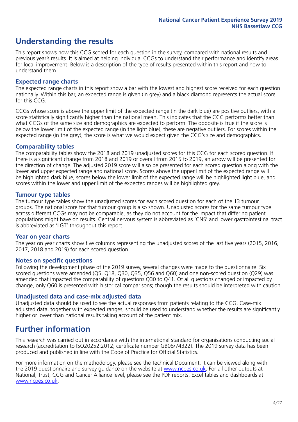# **Understanding the results**

This report shows how this CCG scored for each question in the survey, compared with national results and previous year's results. It is aimed at helping individual CCGs to understand their performance and identify areas for local improvement. Below is a description of the type of results presented within this report and how to understand them.

### **Expected range charts**

The expected range charts in this report show a bar with the lowest and highest score received for each question nationally. Within this bar, an expected range is given (in grey) and a black diamond represents the actual score for this CCG.

CCGs whose score is above the upper limit of the expected range (in the dark blue) are positive outliers, with a score statistically significantly higher than the national mean. This indicates that the CCG performs better than what CCGs of the same size and demographics are expected to perform. The opposite is true if the score is below the lower limit of the expected range (in the light blue); these are negative outliers. For scores within the expected range (in the grey), the score is what we would expect given the CCG's size and demographics.

### **Comparability tables**

The comparability tables show the 2018 and 2019 unadjusted scores for this CCG for each scored question. If there is a significant change from 2018 and 2019 or overall from 2015 to 2019, an arrow will be presented for the direction of change. The adjusted 2019 score will also be presented for each scored question along with the lower and upper expected range and national score. Scores above the upper limit of the expected range will be highlighted dark blue, scores below the lower limit of the expected range will be highlighted light blue, and scores within the lower and upper limit of the expected ranges will be highlighted grey.

### **Tumour type tables**

The tumour type tables show the unadjusted scores for each scored question for each of the 13 tumour groups. The national score for that tumour group is also shown. Unadjusted scores for the same tumour type across different CCGs may not be comparable, as they do not account for the impact that differing patient populations might have on results. Central nervous system is abbreviated as 'CNS' and lower gastrointestinal tract is abbreviated as 'LGT' throughout this report.

### **Year on year charts**

The year on year charts show five columns representing the unadjusted scores of the last five years (2015, 2016, 2017, 2018 and 2019) for each scored question.

### **Notes on specific questions**

Following the development phase of the 2019 survey, several changes were made to the questionnaire. Six scored questions were amended (Q5, Q18, Q30, Q35, Q56 and Q60) and one non-scored question (Q29) was amended that impacted the comparability of questions Q30 to Q41. Of all questions changed or impacted by change, only Q60 is presented with historical comparisons; though the results should be interpreted with caution.

### **Unadjusted data and case-mix adjusted data**

Unadjusted data should be used to see the actual responses from patients relating to the CCG. Case-mix adjusted data, together with expected ranges, should be used to understand whether the results are significantly higher or lower than national results taking account of the patient mix.

### **Further information**

This research was carried out in accordance with the international standard for organisations conducting social research (accreditation to ISO20252:2012; certificate number GB08/74322). The 2019 survey data has been produced and published in line with the Code of Practice for Official Statistics.

For more information on the methodology, please see the Technical Document. It can be viewed along with the 2019 questionnaire and survey quidance on the website at [www.ncpes.co.uk](https://www.ncpes.co.uk/supporting-documents). For all other outputs at National, Trust, CCG and Cancer Alliance level, please see the PDF reports, Excel tables and dashboards at [www.ncpes.co.uk.](https://www.ncpes.co.uk/current-results)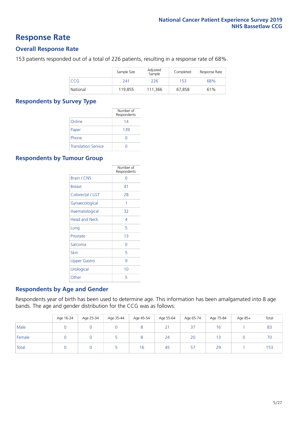### **Response Rate**

### **Overall Response Rate**

153 patients responded out of a total of 226 patients, resulting in a response rate of 68%.

|          | Sample Size | Adjusted<br>Sample | Completed | Response Rate |
|----------|-------------|--------------------|-----------|---------------|
| CCG      | 241         | 226                | 153       | 68%           |
| National | 119,855     | 111.366            | 67,858    | 61%           |

### **Respondents by Survey Type**

|                            | Number of<br>Respondents |
|----------------------------|--------------------------|
| Online                     | 14                       |
| Paper                      | 139                      |
| Phone                      |                          |
| <b>Translation Service</b> |                          |

### **Respondents by Tumour Group**

|                      | Number of<br>Respondents |
|----------------------|--------------------------|
| Brain / CNS          | ∩                        |
| <b>Breast</b>        | 41                       |
| Colorectal / LGT     | 28                       |
| Gynaecological       | 1                        |
| Haematological       | 32                       |
| <b>Head and Neck</b> | 4                        |
| Lung                 | 5                        |
| Prostate             | 1 <sub>3</sub>           |
| Sarcoma              | Ω                        |
| Skin                 | 5                        |
| <b>Upper Gastro</b>  | 9                        |
| Urological           | 10                       |
| Other                | 5                        |

### **Respondents by Age and Gender**

Respondents year of birth has been used to determine age. This information has been amalgamated into 8 age bands. The age and gender distribution for the CCG was as follows:

|        | Age 16-24 | Age 25-34 | Age 35-44 | Age 45-54 | Age 55-64 | Age 65-74 | Age 75-84 | Age 85+ | Total |
|--------|-----------|-----------|-----------|-----------|-----------|-----------|-----------|---------|-------|
| Male   |           |           |           |           | 21        | 37        | 16        |         | 83    |
| Female |           |           |           |           | 24        | 20        |           |         | 70    |
| Total  |           |           |           | 16        | -45       | 57        | 29        |         | 153   |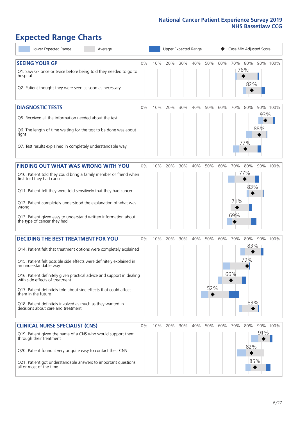# **Expected Range Charts**

| Lower Expected Range<br>Average                                                                                                                                                                                                                                                                                                                                                                                                                                                                                             | Upper Expected Range<br>Case Mix Adjusted Score |     |         |     |     |            |     |                   |                          |            |          |
|-----------------------------------------------------------------------------------------------------------------------------------------------------------------------------------------------------------------------------------------------------------------------------------------------------------------------------------------------------------------------------------------------------------------------------------------------------------------------------------------------------------------------------|-------------------------------------------------|-----|---------|-----|-----|------------|-----|-------------------|--------------------------|------------|----------|
| <b>SEEING YOUR GP</b><br>Q1. Saw GP once or twice before being told they needed to go to<br>hospital<br>Q2. Patient thought they were seen as soon as necessary                                                                                                                                                                                                                                                                                                                                                             | 0%                                              | 10% | 20%     | 30% | 40% | 50%        | 60% | 70% 80%           | 76%<br>82%               |            | 90% 100% |
| <b>DIAGNOSTIC TESTS</b><br>Q5. Received all the information needed about the test<br>Q6. The length of time waiting for the test to be done was about<br>right<br>Q7. Test results explained in completely understandable way                                                                                                                                                                                                                                                                                               | $0\%$                                           | 10% | 20%     | 30% | 40% | 50%        | 60% | 70%               | 80%<br>77%               | 93%<br>88% | 90% 100% |
| FINDING OUT WHAT WAS WRONG WITH YOU<br>Q10. Patient told they could bring a family member or friend when<br>first told they had cancer<br>Q11. Patient felt they were told sensitively that they had cancer<br>Q12. Patient completely understood the explanation of what was<br>wrong<br>Q13. Patient given easy to understand written information about<br>the type of cancer they had                                                                                                                                    | 0%                                              | 10% | 20%     | 30% | 40% | 50%        | 60% | 70%<br>71%<br>69% | 80%<br>77%<br>83%        |            | 90% 100% |
| <b>DECIDING THE BEST TREATMENT FOR YOU</b><br>Q14. Patient felt that treatment options were completely explained<br>Q15. Patient felt possible side effects were definitely explained in<br>an understandable way<br>Q16. Patient definitely given practical advice and support in dealing<br>with side effects of treatment<br>Q17. Patient definitely told about side effects that could affect<br>them in the future<br>Q18. Patient definitely involved as much as they wanted in<br>decisions about care and treatment | 0%                                              | 10% | 20%     | 30% | 40% | 50%<br>52% | 60% | 70%<br>66%        | 80%<br>83%<br>79%<br>83% |            | 90% 100% |
| <b>CLINICAL NURSE SPECIALIST (CNS)</b><br>Q19. Patient given the name of a CNS who would support them<br>through their treatment<br>Q20. Patient found it very or quite easy to contact their CNS<br>Q21. Patient got understandable answers to important questions<br>all or most of the time                                                                                                                                                                                                                              | $0\%$                                           |     | 10% 20% | 30% | 40% | 50%        | 60% | 70%               | 80%<br>82%<br>85%        | 91%        | 90% 100% |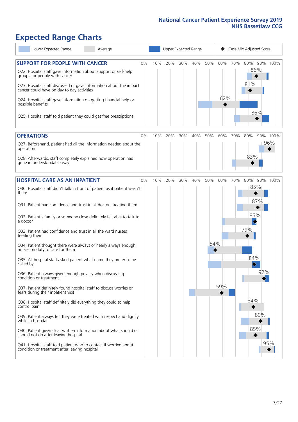# **Expected Range Charts**

| Lower Expected Range<br>Average                                                                                                                                                                            |       | Upper Expected Range |     |     |     |     |         | Case Mix Adjusted Score |                   |          |  |  |
|------------------------------------------------------------------------------------------------------------------------------------------------------------------------------------------------------------|-------|----------------------|-----|-----|-----|-----|---------|-------------------------|-------------------|----------|--|--|
| <b>SUPPORT FOR PEOPLE WITH CANCER</b><br>Q22. Hospital staff gave information about support or self-help<br>groups for people with cancer                                                                  | $0\%$ | 10%                  | 20% | 30% | 40% | 50% | 60% 70% |                         | 80%<br>86%<br>81% | 90% 100% |  |  |
| Q23. Hospital staff discussed or gave information about the impact<br>cancer could have on day to day activities<br>Q24. Hospital staff gave information on getting financial help or<br>possible benefits |       |                      |     |     |     |     | 62%     |                         |                   |          |  |  |
| Q25. Hospital staff told patient they could get free prescriptions                                                                                                                                         |       |                      |     |     |     |     |         |                         | 86%               |          |  |  |
| <b>OPERATIONS</b>                                                                                                                                                                                          | $0\%$ | 10%                  | 20% | 30% | 40% | 50% | 60%     | 70%                     | 80%               | 90% 100% |  |  |
| Q27. Beforehand, patient had all the information needed about the<br>operation                                                                                                                             |       |                      |     |     |     |     |         |                         |                   | 96%      |  |  |
| Q28. Afterwards, staff completely explained how operation had<br>gone in understandable way                                                                                                                |       |                      |     |     |     |     |         |                         | 83%               |          |  |  |
| <b>HOSPITAL CARE AS AN INPATIENT</b>                                                                                                                                                                       | $0\%$ | 10%                  | 20% | 30% | 40% | 50% | 60%     | 70%                     | 80%               | 90% 100% |  |  |
| Q30. Hospital staff didn't talk in front of patient as if patient wasn't<br>there                                                                                                                          |       |                      |     |     |     |     |         |                         | 85%<br>87%        |          |  |  |
| Q31. Patient had confidence and trust in all doctors treating them                                                                                                                                         |       |                      |     |     |     |     |         |                         |                   |          |  |  |
| Q32. Patient's family or someone close definitely felt able to talk to<br>a doctor                                                                                                                         |       |                      |     |     |     |     |         |                         | 85%<br>$\Diamond$ |          |  |  |
| Q33. Patient had confidence and trust in all the ward nurses<br>treating them                                                                                                                              |       |                      |     |     |     |     |         |                         | 79%               |          |  |  |
| Q34. Patient thought there were always or nearly always enough<br>nurses on duty to care for them                                                                                                          |       |                      |     |     |     | 54% |         |                         |                   |          |  |  |
| Q35. All hospital staff asked patient what name they prefer to be<br>called by                                                                                                                             |       |                      |     |     |     |     |         |                         | 84%               |          |  |  |
| Q36. Patient always given enough privacy when discussing<br>condition or treatment                                                                                                                         |       |                      |     |     |     |     |         |                         | 92%               |          |  |  |
| Q37. Patient definitely found hospital staff to discuss worries or<br>fears during their inpatient visit                                                                                                   |       |                      |     |     |     |     | 59%     |                         |                   |          |  |  |
| Q38. Hospital staff definitely did everything they could to help<br>control pain                                                                                                                           |       |                      |     |     |     |     |         |                         | 84%               |          |  |  |
| Q39. Patient always felt they were treated with respect and dignity<br>while in hospital                                                                                                                   |       |                      |     |     |     |     |         |                         | 89%               |          |  |  |
| Q40. Patient given clear written information about what should or<br>should not do after leaving hospital                                                                                                  |       |                      |     |     |     |     |         |                         | 85%               |          |  |  |
| Q41. Hospital staff told patient who to contact if worried about<br>condition or treatment after leaving hospital                                                                                          |       |                      |     |     |     |     |         |                         |                   | 95%      |  |  |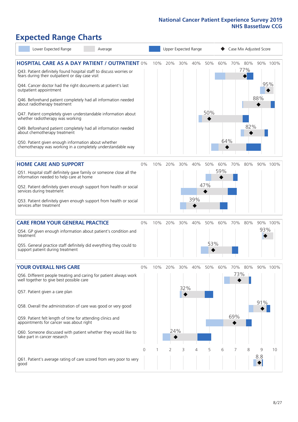# **Expected Range Charts**

| Lower Expected Range                                                                                                                                                                                                                                                                                                                                                                                                                                                                                                                                                                                                                                                                                   | Average |            |     | Upper Expected Range |                 |            |            |            | Case Mix Adjusted Score |                       |          |                 |  |
|--------------------------------------------------------------------------------------------------------------------------------------------------------------------------------------------------------------------------------------------------------------------------------------------------------------------------------------------------------------------------------------------------------------------------------------------------------------------------------------------------------------------------------------------------------------------------------------------------------------------------------------------------------------------------------------------------------|---------|------------|-----|----------------------|-----------------|------------|------------|------------|-------------------------|-----------------------|----------|-----------------|--|
| <b>HOSPITAL CARE AS A DAY PATIENT / OUTPATIENT 0%</b><br>Q43. Patient definitely found hospital staff to discuss worries or<br>fears during their outpatient or day case visit<br>Q44. Cancer doctor had the right documents at patient's last<br>outpatient appointment<br>Q46. Beforehand patient completely had all information needed<br>about radiotherapy treatment<br>Q47. Patient completely given understandable information about<br>whether radiotherapy was working<br>Q49. Beforehand patient completely had all information needed<br>about chemotherapy treatment<br>Q50. Patient given enough information about whether<br>chemotherapy was working in a completely understandable way |         |            | 10% | 20%                  | 30%             | 40%        | 50%<br>50% | 60%<br>64% |                         | 70% 80%<br>77%<br>82% | 88%      | 90% 100%<br>95% |  |
| <b>HOME CARE AND SUPPORT</b><br>Q51. Hospital staff definitely gave family or someone close all the<br>information needed to help care at home<br>Q52. Patient definitely given enough support from health or social<br>services during treatment<br>Q53. Patient definitely given enough support from health or social<br>services after treatment                                                                                                                                                                                                                                                                                                                                                    |         | 0%         | 10% | 20%                  | 30%             | 40%<br>39% | 50%<br>47% | 60%<br>59% | 70%                     | 80%                   |          | 90% 100%        |  |
| <b>CARE FROM YOUR GENERAL PRACTICE</b><br>Q54. GP given enough information about patient's condition and<br>treatment<br>Q55. General practice staff definitely did everything they could to<br>support patient during treatment                                                                                                                                                                                                                                                                                                                                                                                                                                                                       |         | 0%         | 10% | 20%                  | 30%             | 40%        | 50%<br>53% | 60%        | 70%                     | 80%                   | 93%      | 90% 100%        |  |
| <b>YOUR OVERALL NHS CARE</b><br>Q56. Different people treating and caring for patient always work<br>well together to give best possible care<br>Q57. Patient given a care plan<br>Q58. Overall the administration of care was good or very good<br>Q59. Patient felt length of time for attending clinics and<br>appointments for cancer was about right<br>Q60. Someone discussed with patient whether they would like to<br>take part in cancer research                                                                                                                                                                                                                                            |         | $0\%$<br>0 | 10% | 20%<br>24%           | 30%<br>32%<br>3 | 40%<br>4   | 50%<br>5   | 60%<br>6   | 70%<br>73%<br>69%       | 80%<br>8              | 91%<br>9 | 90% 100%<br>10  |  |
| Q61. Patient's average rating of care scored from very poor to very<br>good                                                                                                                                                                                                                                                                                                                                                                                                                                                                                                                                                                                                                            |         |            |     | 2                    |                 |            |            |            |                         |                       | 8.8      |                 |  |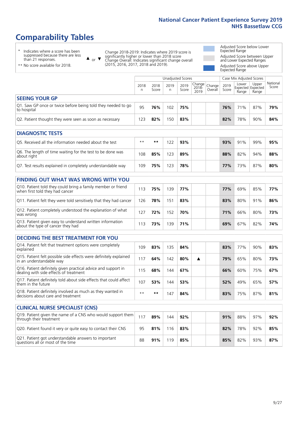# **Comparability Tables**

\* Indicates where a score has been suppressed because there are less than 21 responses.

\*\* No score available for 2018.

 $\triangle$  or  $\nabla$ 

Change 2018-2019: Indicates where 2019 score is significantly higher or lower than 2018 score Change Overall: Indicates significant change overall (2015, 2016, 2017, 2018 and 2019).

Adjusted Score below Lower Expected Range Adjusted Score between Upper and Lower Expected Ranges Adjusted Score above Upper Expected Range

|                                                                             |           |               | Unadjusted Scores |               |                                                     |         |               | Case Mix Adjusted Scores |                                     |                   |
|-----------------------------------------------------------------------------|-----------|---------------|-------------------|---------------|-----------------------------------------------------|---------|---------------|--------------------------|-------------------------------------|-------------------|
|                                                                             | 2018<br>n | 2018<br>Score | 2019<br>n         | 2019<br>Score | $\sqrt{(\text{Change})}$ Change<br>$2018 -$<br>2019 | Overall | 2019<br>Score | Lower<br>Range           | Upper<br>Expected Expected<br>Range | National<br>Score |
| <b>SEEING YOUR GP</b>                                                       |           |               |                   |               |                                                     |         |               |                          |                                     |                   |
| Q1. Saw GP once or twice before being told they needed to go<br>to hospital | 95        | 76%           | 102               | 75%           |                                                     |         | 76%           | 71%                      | 87%                                 | 79%               |
| Q2. Patient thought they were seen as soon as necessary                     | 123       | 82%           | 150               | 83%           |                                                     |         | 82%           | 78%                      | 90%                                 | 84%               |
| <b>DIAGNOSTIC TESTS</b>                                                     |           |               |                   |               |                                                     |         |               |                          |                                     |                   |

| O5. Received all the information needed about the test                    | $***$ | **  |     | 93% |  | 93% | 91% | 99% | 95% |
|---------------------------------------------------------------------------|-------|-----|-----|-----|--|-----|-----|-----|-----|
| Q6. The length of time waiting for the test to be done was<br>about right | 108   | 85% | 123 | 89% |  | 88% | 82% | 94% | 88% |
| Q7. Test results explained in completely understandable way               | 109   | 75% | 123 | 78% |  | 77% | 73% | 87% | 80% |

| <b>FINDING OUT WHAT WAS WRONG WITH YOU</b>                                                      |     |     |     |     |     |     |     |     |
|-------------------------------------------------------------------------------------------------|-----|-----|-----|-----|-----|-----|-----|-----|
| Q10. Patient told they could bring a family member or friend<br>when first told they had cancer | 113 | 75% | 139 | 77% | 77% | 69% | 85% | 77% |
| Q11. Patient felt they were told sensitively that they had cancer                               | 126 | 78% | 151 | 83% | 83% | 80% | 91% | 86% |
| Q12. Patient completely understood the explanation of what<br>was wrong                         | 127 | 72% | 152 | 70% | 71% | 66% | 80% | 73% |
| Q13. Patient given easy to understand written information<br>about the type of cancer they had  | 13  | 73% | 139 | 71% | 69% | 67% | 82% | 74% |

| <b>DECIDING THE BEST TREATMENT FOR YOU</b>                                                              |      |     |     |     |   |     |     |     |     |
|---------------------------------------------------------------------------------------------------------|------|-----|-----|-----|---|-----|-----|-----|-----|
| Q14. Patient felt that treatment options were completely<br>explained                                   | 109  | 83% | 135 | 84% |   | 83% | 77% | 90% | 83% |
| Q15. Patient felt possible side effects were definitely explained<br>in an understandable way           | 17   | 64% | 142 | 80% | ▲ | 79% | 65% | 80% | 73% |
| Q16. Patient definitely given practical advice and support in<br>dealing with side effects of treatment | 115  | 68% | 144 | 67% |   | 66% | 60% | 75% | 67% |
| Q17. Patient definitely told about side effects that could affect<br>them in the future                 | 107  | 53% | '44 | 53% |   | 52% | 49% | 65% | 57% |
| Q18. Patient definitely involved as much as they wanted in<br>decisions about care and treatment        | $**$ | **  | 47  | 84% |   | 83% | 75% | 87% | 81% |

| <b>CLINICAL NURSE SPECIALIST (CNS)</b>                                                    |     |     |     |     |  |     |     |     |     |
|-------------------------------------------------------------------------------------------|-----|-----|-----|-----|--|-----|-----|-----|-----|
| Q19. Patient given the name of a CNS who would support them<br>through their treatment    | 117 | 89% | 144 | 92% |  | 91% | 88% | 97% | 92% |
| Q20. Patient found it very or quite easy to contact their CNS                             | 95  | 81% | 16  | 83% |  | 82% | 78% | 92% | 85% |
| Q21. Patient got understandable answers to important<br>questions all or most of the time | 88  | 91% | 19  | 85% |  | 85% | 82% | 93% | 87% |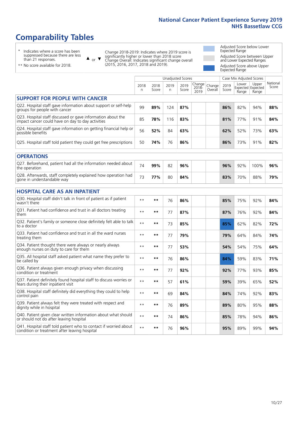# **Comparability Tables**

\* Indicates where a score has been suppressed because there are less than 21 responses.

\*\* No score available for 2018.

 $\triangle$  or  $\nabla$ 

Change 2018-2019: Indicates where 2019 score is significantly higher or lower than 2018 score Change Overall: Indicates significant change overall (2015, 2016, 2017, 2018 and 2019).

Adjusted Score below Lower Expected Range Adjusted Score between Upper and Lower Expected Ranges Adjusted Score above Upper Expected Range

|                                                                                                                   |              |               | <b>Unadjusted Scores</b> |               |                         |                   |               | Case Mix Adjusted Scores            |                |                   |
|-------------------------------------------------------------------------------------------------------------------|--------------|---------------|--------------------------|---------------|-------------------------|-------------------|---------------|-------------------------------------|----------------|-------------------|
|                                                                                                                   | 2018<br>n    | 2018<br>Score | 2019<br>$\mathsf{n}$     | 2019<br>Score | Change<br>2018-<br>2019 | Change<br>Overall | 2019<br>Score | Lower<br>Expected Expected<br>Range | Upper<br>Range | National<br>Score |
| <b>SUPPORT FOR PEOPLE WITH CANCER</b>                                                                             |              |               |                          |               |                         |                   |               |                                     |                |                   |
| Q22. Hospital staff gave information about support or self-help<br>groups for people with cancer                  | 99           | 89%           | 124                      | 87%           |                         |                   | 86%           | 82%                                 | 94%            | 88%               |
| Q23. Hospital staff discussed or gave information about the<br>impact cancer could have on day to day activities  | 85           | 78%           | 116                      | 83%           |                         |                   | 81%           | 77%                                 | 91%            | 84%               |
| Q24. Hospital staff gave information on getting financial help or<br>possible benefits                            | 56           | 52%           | 84                       | 63%           |                         |                   | 62%           | 52%                                 | 73%            | 63%               |
| Q25. Hospital staff told patient they could get free prescriptions                                                | 50           | 74%           | 76                       | 86%           |                         |                   | 86%           | 73%                                 | 91%            | 82%               |
| <b>OPERATIONS</b>                                                                                                 |              |               |                          |               |                         |                   |               |                                     |                |                   |
| Q27. Beforehand, patient had all the information needed about<br>the operation                                    | 74           | 99%           | 82                       | 96%           |                         |                   | 96%           | 92%                                 | 100%           | 96%               |
| Q28. Afterwards, staff completely explained how operation had<br>gone in understandable way                       | 73           | 77%           | 80                       | 84%           |                         |                   | 83%           | 70%                                 | 88%            | 79%               |
| <b>HOSPITAL CARE AS AN INPATIENT</b>                                                                              |              |               |                          |               |                         |                   |               |                                     |                |                   |
| Q30. Hospital staff didn't talk in front of patient as if patient<br>wasn't there                                 | $\star\star$ | **            | 76                       | 86%           |                         |                   | 85%           | 75%                                 | 92%            | 84%               |
| Q31. Patient had confidence and trust in all doctors treating<br>them                                             | $* *$        | **            | 77                       | 87%           |                         |                   | 87%           | 76%                                 | 92%            | 84%               |
| Q32. Patient's family or someone close definitely felt able to talk<br>to a doctor                                | $\star\star$ | **            | 73                       | 85%           |                         |                   | 85%           | 62%                                 | 82%            | 72%               |
| O33. Patient had confidence and trust in all the ward nurses<br>treating them                                     | $* *$        | **            | 77                       | 79%           |                         |                   | 79%           | 64%                                 | 84%            | 74%               |
| Q34. Patient thought there were always or nearly always<br>enough nurses on duty to care for them                 | $**$         | **            | 77                       | 53%           |                         |                   | 54%           | 54%                                 | 75%            | 64%               |
| Q35. All hospital staff asked patient what name they prefer to<br>be called by                                    | $**$         | **            | 76                       | 86%           |                         |                   | 84%           | 59%                                 | 83%            | 71%               |
| Q36. Patient always given enough privacy when discussing<br>condition or treatment                                | $\star\star$ | **            | 77                       | 92%           |                         |                   | 92%           | 77%                                 | 93%            | 85%               |
| Q37. Patient definitely found hospital staff to discuss worries or<br>fears during their inpatient visit          | $* *$        | **            | 57                       | 61%           |                         |                   | 59%           | 39%                                 | 65%            | 52%               |
| Q38. Hospital staff definitely did everything they could to help<br>control pain                                  | $\star\star$ | **            | 69                       | 84%           |                         |                   | 84%           | 74%                                 | 92%            | 83%               |
| Q39. Patient always felt they were treated with respect and<br>dignity while in hospital                          | $* *$        | **            | 76                       | 89%           |                         |                   | 89%           | 80%                                 | 95%            | 88%               |
| Q40. Patient given clear written information about what should<br>or should not do after leaving hospital         | $\star\star$ | **            | 74                       | 86%           |                         |                   | 85%           | 78%                                 | 94%            | 86%               |
| Q41. Hospital staff told patient who to contact if worried about<br>condition or treatment after leaving hospital | $\star\star$ | **            | 76                       | 96%           |                         |                   | 95%           | 89%                                 | 99%            | 94%               |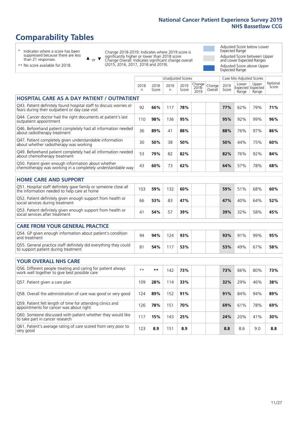# **Comparability Tables**

\* Indicates where a score has been suppressed because there are less than 21 responses.

\*\* No score available for 2018.

 $\triangle$  or  $\nabla$ 

Change 2018-2019: Indicates where 2019 score is significantly higher or lower than 2018 score Change Overall: Indicates significant change overall (2015, 2016, 2017, 2018 and 2019).

Adjusted Score below Lower Expected Range Adjusted Score between Upper and Lower Expected Ranges Adjusted Score above Upper Expected Range

|                                                                                                                       |              |               |           | <b>Unadjusted Scores</b> |                         |                   |               | Case Mix Adjusted Scores |                                     |                   |
|-----------------------------------------------------------------------------------------------------------------------|--------------|---------------|-----------|--------------------------|-------------------------|-------------------|---------------|--------------------------|-------------------------------------|-------------------|
|                                                                                                                       | 2018<br>n    | 2018<br>Score | 2019<br>n | 2019<br>Score            | Change<br>2018-<br>2019 | Change<br>Overall | 2019<br>Score | Lower<br>Range           | Upper<br>Expected Expected<br>Range | National<br>Score |
| <b>HOSPITAL CARE AS A DAY PATIENT / OUTPATIENT</b>                                                                    |              |               |           |                          |                         |                   |               |                          |                                     |                   |
| Q43. Patient definitely found hospital staff to discuss worries or<br>fears during their outpatient or day case visit | 92           | 66%           | 117       | 78%                      |                         |                   | 77%           | 62%                      | 79%                                 | 71%               |
| Q44. Cancer doctor had the right documents at patient's last<br>outpatient appointment                                | 110          | 98%           | 136       | 95%                      |                         |                   | 95%           | 92%                      | 99%                                 | 96%               |
| Q46. Beforehand patient completely had all information needed<br>about radiotherapy treatment                         | 36           | 89%           | 41        | 88%                      |                         |                   | 88%           | 76%                      | 97%                                 | 86%               |
| Q47. Patient completely given understandable information<br>about whether radiotherapy was working                    | 30           | 50%           | 38        | 50%                      |                         |                   | 50%           | 44%                      | 75%                                 | 60%               |
| Q49. Beforehand patient completely had all information needed<br>about chemotherapy treatment                         | 53           | 79%           | 82        | 82%                      |                         |                   | 82%           | 76%                      | 92%                                 | 84%               |
| Q50. Patient given enough information about whether<br>chemotherapy was working in a completely understandable way    | 43           | 60%           | 73        | 62%                      |                         |                   | 64%           | 57%                      | 78%                                 | 68%               |
| <b>HOME CARE AND SUPPORT</b>                                                                                          |              |               |           |                          |                         |                   |               |                          |                                     |                   |
| Q51. Hospital staff definitely gave family or someone close all<br>the information needed to help care at home        | 103          | 59%           | 132       | 60%                      |                         |                   | 59%           | 51%                      | 68%                                 | 60%               |
| Q52. Patient definitely given enough support from health or<br>social services during treatment                       | 66           | 53%           | 83        | 47%                      |                         |                   | 47%           | 40%                      | 64%                                 | 52%               |
| Q53. Patient definitely given enough support from health or<br>social services after treatment                        | 41           | 54%           | 57        | 39%                      |                         |                   | 39%           | 32%                      | 58%                                 | 45%               |
| <b>CARE FROM YOUR GENERAL PRACTICE</b>                                                                                |              |               |           |                          |                         |                   |               |                          |                                     |                   |
| Q54. GP given enough information about patient's condition<br>and treatment                                           | 94           | 94%           | 124       | 93%                      |                         |                   | 93%           | 91%                      | 99%                                 | 95%               |
| Q55. General practice staff definitely did everything they could<br>to support patient during treatment               | 81           | 54%           | 117       | 53%                      |                         |                   | 53%           | 49%                      | 67%                                 | 58%               |
| <b>YOUR OVERALL NHS CARE</b>                                                                                          |              |               |           |                          |                         |                   |               |                          |                                     |                   |
| Q56. Different people treating and caring for patient always<br>work well together to give best possible care         | $\star\star$ | $***$         | 142       | 73%                      |                         |                   | 73%           | 66%                      | 80%                                 | 73%               |
| Q57. Patient given a care plan                                                                                        | 109          | 28%           | 114       | 33%                      |                         |                   | 32%           | 29%                      | 46%                                 | 38%               |
| Q58. Overall the administration of care was good or very good                                                         | 124          | 89%           | 152       | 91%                      |                         |                   | 91%           | 84%                      | 94%                                 | 89%               |
| Q59. Patient felt length of time for attending clinics and<br>appointments for cancer was about right                 | 126          | 78%           | 151       | 70%                      |                         |                   | 69%           | 61%                      | 78%                                 | 69%               |
| Q60. Someone discussed with patient whether they would like<br>to take part in cancer research                        | 117          | 15%           | 143       | 25%                      |                         |                   | 24%           | 20%                      | 41%                                 | 30%               |
| Q61. Patient's average rating of care scored from very poor to<br>very good                                           | 123          | 8.9           | 151       | 8.9                      |                         |                   | 8.8           | 8.6                      | 9.0                                 | 8.8               |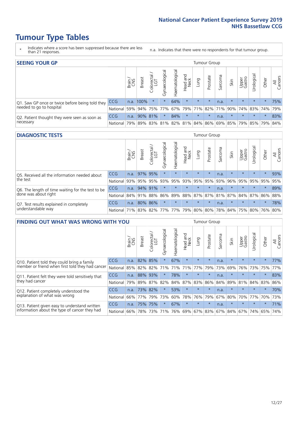# **Tumour Type Tables**

- \* Indicates where a score has been suppressed because there are less than 21 responses.
- n.a. Indicates that there were no respondents for that tumour group.

| <b>SEEING YOUR GP</b>                           |            |              |               |            |                    |                |                                   |         | Tumour Group |         |         |                 |                                                           |         |                |
|-------------------------------------------------|------------|--------------|---------------|------------|--------------------|----------------|-----------------------------------|---------|--------------|---------|---------|-----------------|-----------------------------------------------------------|---------|----------------|
|                                                 |            | Brain<br>CNS | <b>Breast</b> | Colorectal | ᠊ᢛ<br>Gynaecologic | Haematological | Head and<br>Neck                  | Lung    | Prostate     | Sarcoma | Skin    | Upper<br>Gastro | $\sigma$<br>Irologica                                     | Other   | All<br>Cancers |
| Q1. Saw GP once or twice before being told they | CCG        |              | n.a. 100%     | $\star$    | $\star$            | 64%            | $\star$                           | $\star$ | $\star$      | n.a.    | $\star$ | $\star$         | $\star$                                                   | $\star$ | 75%            |
| needed to go to hospital                        | National   | 59%          |               |            | 94% 75% 77%        |                | 67%   79%   71%   82%   71%   90% |         |              |         |         |                 | 74% 83% 74% 79%                                           |         |                |
| Q2. Patient thought they were seen as soon as   | <b>CCG</b> | n.a.         |               | 90% 81%    | $\star$            | 84%            | $\star$                           | $\star$ | $\star$      | n.a.    | $\star$ | $\star$         | $\star$                                                   | $\star$ | 83%            |
| necessary                                       | National   | 79%          |               | 89% 83%    |                    |                |                                   |         |              |         |         |                 | 81%   82%   81%   84%   86%   69%   85%   79%   85%   79% |         | 84%            |

#### **DIAGNOSTIC TESTS** Tumour Group

|                                                   |                                          | Brain<br>CNS | <b>Breast</b> | Colorectal<br>LGT | ᠊ᢛ<br>Gynaecologic | Haematological | Head and<br>Neck | Lung        | Prostate | Sarcoma | Skin    | Upper<br>Gastro | rological                                   | Other   | All<br>Cancers |
|---------------------------------------------------|------------------------------------------|--------------|---------------|-------------------|--------------------|----------------|------------------|-------------|----------|---------|---------|-----------------|---------------------------------------------|---------|----------------|
| Q5. Received all the information needed about     | <b>CCG</b>                               | n.a.         |               | 97% 95%           | $\star$            | $\star$        | $\star$          | $\star$     | $\star$  | n.a.    |         | $\star$         | $\star$                                     | $\star$ | 93%            |
| the test                                          | National                                 | 93%          |               | 95% 95%           |                    | 93% 95%        |                  | 93% 95% 95% |          | 93%     | 96%     |                 | 95% 95%                                     | 95%     | 95%            |
| Q6. The length of time waiting for the test to be | <b>CCG</b>                               | n.a.         | 94% 91%       |                   | $\star$            | $\star$        | $\star$          | $\star$     | $\star$  | n.a.    | $\star$ | $\star$         | $\star$                                     | $\star$ | 89%            |
| done was about right                              | National                                 |              | 84% 91% 88%   |                   |                    |                |                  |             |          |         |         |                 | 86% 89% 88% 87% 87% 81% 87% 84% 87% 86% 88% |         |                |
| Q7. Test results explained in completely          | <b>CCG</b>                               | n.a.         |               | 80% 86%           | $\star$            | $\star$        | $\star$          | $\star$     | $\star$  | n.a.    | $\star$ | $\star$         | $\star$                                     | $\star$ | 78%            |
| understandable way                                | National 71% 83% 82% 77% 77% 79% 80% 80% |              |               |                   |                    |                |                  |             |          |         |         |                 | 78% 84% 75% 80% 76% 80%                     |         |                |

| <b>FINDING OUT WHAT WAS WRONG WITH YOU</b>        |            |       |               |                             |                |                |                        |             | <b>Tumour Group</b> |         |         |                 |            |         |                |
|---------------------------------------------------|------------|-------|---------------|-----------------------------|----------------|----------------|------------------------|-------------|---------------------|---------|---------|-----------------|------------|---------|----------------|
|                                                   |            | Brain | <b>Breast</b> | ╮<br>olorectal.<br>LGT<br>Ũ | Gynaecological | Haematological | ad and<br>Neck<br>Head | Lung        | Prostate            | Sarcoma | Skin    | Upper<br>Gastro | Urological | Other   | All<br>Cancers |
| Q10. Patient told they could bring a family       | <b>CCG</b> | n.a.  | 82%           | 85%                         | $\star$        | 67%            | $\star$                | $\star$     | $\star$             | n.a.    | $\star$ | $\star$         | $\star$    | $\star$ | 77%            |
| member or friend when first told they had cancer  | National   | 85%   | 82%           | 82%                         | 71%            | 71%            | 71%                    | 77%         | 79%                 | 73%     | 69%     | 76%             | 73%        | 75%     | 77%            |
| Q11. Patient felt they were told sensitively that | <b>CCG</b> | n.a.  | 88%           | 93%                         |                | 78%            | $\star$                | $\star$     | $\star$             | n.a.    | $\star$ | $\star$         | $\star$    | $\star$ | 83%            |
| they had cancer                                   | National   | 79%   |               | 89% 87%                     | 82%            |                |                        | 84% 87% 83% | 86%                 | 84%     | 89%     | 81%             | 84% 83%    |         | 86%            |
| Q12. Patient completely understood the            | <b>CCG</b> | n.a.  | 73%           | 82%                         |                | 53%            | $\star$                | $\star$     | $\star$             | n.a.    | $\star$ | $\star$         | $\star$    | $\star$ | 70%            |
| explanation of what was wrong                     | National   | 66%   | 77%           | 79%                         | 73%            | 60%            | 78%                    | 76%         | 79%                 | 67%     | 80%     | 70%             | 77%        | 70%     | 73%            |
| Q13. Patient given easy to understand written     | <b>CCG</b> | n.a.  |               | 75% 75%                     | $\star$        | 67%            | $\star$                | $\star$     | $\star$             | n.a.    | $\star$ | $\star$         | $\star$    | $\star$ | 71%            |
| information about the type of cancer they had     | National   | 66%   | 78%           | 73%                         | 71%            |                |                        |             | 76% 69% 67% 83%     | 67%     | 84%     |                 | 67% 74%    | 65%     | 74%            |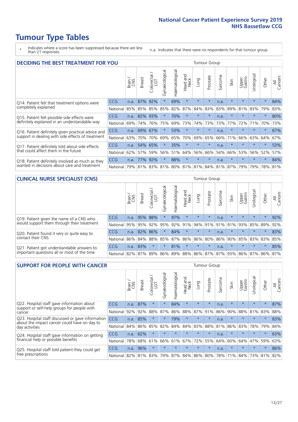# **Tumour Type Tables**

- \* Indicates where a score has been suppressed because there are less than 21 responses.
- n.a. Indicates that there were no respondents for that tumour group.

| <b>DECIDING THE BEST TREATMENT FOR YOU</b>         |          |       |               |            |                |                                         |                         |         | Tumour Group |              |         |                 |            |         |                |
|----------------------------------------------------|----------|-------|---------------|------------|----------------|-----------------------------------------|-------------------------|---------|--------------|--------------|---------|-----------------|------------|---------|----------------|
|                                                    |          | Brain | <b>Breast</b> | Colorectal | Gynaecological | Haematological                          | ead and<br>Neck<br>Head | Lung    | Prostate     | arcoma<br>ιñ | Skin    | Upper<br>Gastro | Urological | Other   | All<br>Cancers |
| Q14. Patient felt that treatment options were      | CCG      | n.a.  | 87%           | 92%        | $\star$        | 69%                                     | $\star$                 | $\star$ | $\star$      | n.a.         | $\star$ | $\star$         | $\star$    | $\star$ | 84%            |
| completely explained                               | National | 85%   |               | 85% 85%    | 85%            | 82%                                     | 87%                     | 84%     | 83%          | 83%          | 89%     | 81%             | 83%        | 79%     | 83%            |
| Q15. Patient felt possible side effects were       | CCG      | n.a.  | 82%           | 93%        |                | 70%                                     | $\star$                 | $\star$ | $\star$      | n.a.         | $\star$ | $\star$         | $\star$    | $\star$ | 80%            |
| definitely explained in an understandable way      | National | 69%   | 74%           | 76%        | 75%            | 69%                                     | 73%                     | 74%     | 73%          | 73%          | 77%     | 72%             | 71%        | 70%     | 73%            |
| Q16. Patient definitely given practical advice and | CCG      | n.a.  | 69%           | 67%        | $\star$        | 53%                                     | $\star$                 | $\star$ | $\star$      | n.a.         | $\star$ | $\star$         | $\star$    | $\star$ | 67%            |
| support in dealing with side effects of treatment  | National | 63%   | 70%           | 70%        | 69%            | 65%                                     | 70%                     | 69%     | 65%          | 66%          | 71%     | 66%             | 63%        | 64%     | 67%            |
| Q17. Patient definitely told about side effects    | CCG      | n.a.  | 54%           | 65%        | $\star$        | 35%                                     | $\star$                 | $\star$ | $\star$      | n.a.         | $\star$ | $\star$         | $\star$    | $\star$ | 53%            |
| that could affect them in the future               | National | 62%   | 57%           | 59%        | 56%            | 51%                                     | 64%                     | 56%     | 66%          | 54%          | 66%     | 53%             | 56%        | 52%     | 57%            |
| Q18. Patient definitely involved as much as they   | CCG      | n.a.  | 77%           | 92%        | $\star$        | 88%                                     | $\star$                 | $\star$ | $\star$      | n.a.         | $\star$ | $\star$         | $\star$    | $\star$ | 84%            |
| wanted in decisions about care and treatment       | National | 79%   |               |            |                | 81% 83% 81% 80% 81% 81% 84% 81% 87% 79% |                         |         |              |              |         |                 | 79%        | 78% 81% |                |

#### **CLINICAL NURSE SPECIALIST (CNS)** Tumour Group

|                                             |            | Brain | <b>Breast</b> | Colorectal<br>LGT | $\sigma$<br>Gynaecologic | Haematological  | Head and<br>Neck | Lung    | Prostate | Sarcoma | Skin                        | Upper<br>Gastro | rological       | Other   | All<br>Cancers |
|---------------------------------------------|------------|-------|---------------|-------------------|--------------------------|-----------------|------------------|---------|----------|---------|-----------------------------|-----------------|-----------------|---------|----------------|
| Q19. Patient given the name of a CNS who    | <b>CCG</b> | n.a.  |               | 95% 88%           |                          | 97%             | $\star$          | $\star$ | $\star$  | n.a.    | $\star$                     | $\star$         | $\star$         | $\star$ | 92%            |
| would support them through their treatment  | National   | 95%   | 95%           | 92%               | 95%                      | 92%             | 91%              | 94% 91% |          | 91%     | 91%                         | 93%             | 85%             | 89%     | 92%            |
| Q20. Patient found it very or quite easy to | <b>CCG</b> | n.a.  | 82% 86%       |                   |                          | 84%             | $\star$          | $\star$ | $\star$  | n.a.    |                             | $\star$         | $\star$         | $\star$ | 83%            |
| contact their CNS                           | National   | 86%   | 84%           | 88%               | 85%                      | 87% 86% 86% 80% |                  |         |          | 86%     | 90%                         | 85%             | 83% 83%         |         | 85%            |
| Q21. Patient got understandable answers to  | <b>CCG</b> | n.a.  | 83%           |                   | $\star$                  | 81%             | $\star$          | $\star$ | $\star$  | n.a.    | $\star$                     | $\star$         | $\star$         | $\star$ | 85%            |
| important questions all or most of the time | National   | 82%   | 87%           | 89%               |                          |                 |                  |         |          |         | 86% 89% 88% 86% 87% 87% 93% |                 | 86% 87% 86% 87% |         |                |

| <b>SUPPORT FOR PEOPLE WITH CANCER</b>                                                             |            |       |               |            |                |                |                        |             | <b>Tumour Group</b> |         |         |                 |            |         |                |
|---------------------------------------------------------------------------------------------------|------------|-------|---------------|------------|----------------|----------------|------------------------|-------------|---------------------|---------|---------|-----------------|------------|---------|----------------|
|                                                                                                   |            | Brain | <b>Breast</b> | Colorectal | Gynaecological | Haematological | ad and<br>Neck<br>Head | Lung        | Prostate            | Sarcoma | Skin    | Upper<br>Gastro | Jrological | Other   | All<br>Cancers |
| Q22. Hospital staff gave information about<br>support or self-help groups for people with         | <b>CCG</b> | n.a.  | 87%           | $\star$    | $\star$        | 84%            | $\star$                | $\star$     | $\star$             | n.a.    | $\star$ | $\star$         | $\star$    | $\star$ | 87%            |
| cancer                                                                                            | National   | 92%   | 92%           | 88%        | 87%            | 86%            | 88%                    | 87%         | 91%                 | 86%     | 90%     | 88%             | 81%        | 83%     | 88%            |
| Q23. Hospital staff discussed or gave information<br>about the impact cancer could have on day to | CCG        | n.a.  | 85%           | $\star$    | $\star$        | 79%            | $\star$                | $\star$     | $\star$             | n.a.    | $\star$ | $\star$         | $\star$    | $\star$ | 83%            |
| day activities                                                                                    | National   | 84%   | 86%           | 85%        | 82%            | 84%            | 84%                    | 83%         | 88%                 | 81%     | 86%     | 83%             | 78%        | 79%     | 84%            |
| Q24. Hospital staff gave information on getting                                                   | CCG        | n.a.  | 62%           | $\star$    | $\star$        | $\star$        | $\star$                | $\star$     | $\star$             | n.a.    | $\star$ | $\star$         | $\star$    | $\ast$  | 63%            |
| financial help or possible benefits                                                               | National   | 78%   | 68%           | 61%        | 66%            | 61%            | 67%                    | 72%         | 55%                 | 64%     | 60%     | 64%             | 47%        | 59%     | 63%            |
| Q25. Hospital staff told patient they could get                                                   | CCG        | n.a.  | 96%           |            | $\star$        |                | $\star$                | $\star$     | $\star$             | n.a.    | $\star$ | $\star$         | $\star$    | $\star$ | 86%            |
| free prescriptions                                                                                | National   | 82%   | 81%           | 83%        | 79%            | 87%            |                        | 84% 86% 80% |                     | 78%     | 71%     | 84%             | 73%        | 81%     | 82%            |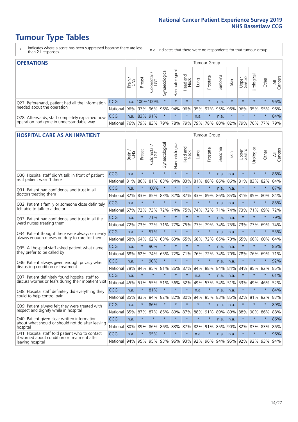# **Tumour Type Tables**

- \* Indicates where a score has been suppressed because there are less than 21 responses.
- n.a. Indicates that there were no respondents for that tumour group.

| <b>OPERATIONS</b>                                |            |       |               |            |                |                               |                  |         | Tumour Group            |         |         |                 |                                  |           |                |
|--------------------------------------------------|------------|-------|---------------|------------|----------------|-------------------------------|------------------|---------|-------------------------|---------|---------|-----------------|----------------------------------|-----------|----------------|
|                                                  |            | Brain | <b>Breast</b> | Colorectal | Gynaecological | $\overline{3}$<br>Haematologi | Head and<br>Neck | Lung    | Prostate                | Sarcoma | Skin    | Upper<br>Gastro | $\overline{\sigma}$<br>Jrologica | Other     | All<br>Cancers |
| Q27. Beforehand, patient had all the information | CCG        | n.a.  | 100%100%      |            | $\star$        |                               | $\star$          | $\star$ | $\star$                 | n.a.    | $\star$ | $\star$         | $\star$                          | $\star$   | 96%            |
| needed about the operation                       | National I |       | 96% 97% 96%   |            | 96%            |                               |                  |         | 94% 96% 95% 97% 95% 96% |         |         |                 | 96% 95% 95%                      |           | 96%            |
| Q28. Afterwards, staff completely explained how  | <b>CCG</b> | n.a.  | 83% 91%       |            | $\star$        | $\star$                       | $\star$          | n.a.    | $\star$                 | n.a.    | $\star$ | $\star$         | $\star$                          | $\star$   | 84%            |
| operation had gone in understandable way         | National   | 76%   |               | 79% 83%    |                | 79%   78%   79%               |                  |         | 79% 78% 80% 82% 79%     |         |         |                 |                                  | 76%   77% | 79%            |

#### **HOSPITAL CARE AS AN INPATIENT** Tumour Group

|                                                                                                  |            | Brain | <b>Breast</b> | Colorectal /<br>LGT | Gynaecological | Haematological | Head and<br>Neck | Lung    | Prostate | Sarcoma | Skin | Upper<br>Gastro | Urological | Other   | Cancers<br>$\overline{\overline{z}}$ |
|--------------------------------------------------------------------------------------------------|------------|-------|---------------|---------------------|----------------|----------------|------------------|---------|----------|---------|------|-----------------|------------|---------|--------------------------------------|
| Q30. Hospital staff didn't talk in front of patient                                              | CCG        | n.a.  | $\star$       | $\star$             | $\star$        | $\star$        | $\star$          | $\star$ | $\star$  | n.a.    | n.a. | $\star$         | $\star$    | $\star$ | 86%                                  |
| as if patient wasn't there                                                                       | National   | 81%   | 86%           | 81%                 | 83%            | 84%            | 83%              | 81%     | 88%      | 86%     | 86%  | 81%             | 83%        | 82%     | 84%                                  |
| 031. Patient had confidence and trust in all                                                     | CCG        | n.a.  | $\star$       | 100%                | $\star$        | $\star$        | $\star$          | $\star$ | $\star$  | n.a.    | n.a. |                 | $\star$    | $\star$ | 87%                                  |
| doctors treating them                                                                            | National   | 82%   | 83%           | 85%                 | 83%            | 82%            |                  | 87% 83% | 89%      | 86%     | 85%  | 81%             | 85%        | 80%     | 84%                                  |
| Q32. Patient's family or someone close definitely                                                | CCG        | n.a.  | $\star$       | $\star$             | $\star$        | $\star$        | $\star$          | $\star$ | $\star$  | n.a.    | n.a. |                 | $\star$    | $\star$ | 85%                                  |
| felt able to talk to a doctor                                                                    | National   | 67%   | 72%           | 73%                 | 72%            | 74%            | 75%              | 74%     | 72%      | 71%     | 74%  | 73%             | 71%        | 69%     | 72%                                  |
| Q33. Patient had confidence and trust in all the                                                 | CCG        | n.a.  | $\star$       | 71%                 | $\star$        | $\star$        | $\star$          | $\star$ | $\star$  | n.a.    | n.a. | $\star$         | $\star$    | $\star$ | 79%                                  |
| ward nurses treating them                                                                        | National   | 72%   | 73%           | 72%                 | 71%            | 77%            |                  | 75% 77% | 79%      | 74%     | 75%  | 73%             | 77%        | 69%     | 74%                                  |
| Q34. Patient thought there were always or nearly                                                 | CCG        | n.a.  | $\star$       | 57%                 | $\star$        | $\star$        | $\star$          | $\star$ | $\star$  | n.a.    | n.a. | $\star$         | $\star$    | $\star$ | 53%                                  |
| always enough nurses on duty to care for them                                                    | National   | 68%   | 64%           | 62%                 | 63%            | 63%            | 65%              | 68%     | 72%      | 65%     | 70%  | 65%             | 66%        | 60%     | 64%                                  |
| Q35. All hospital staff asked patient what name                                                  | CCG        | n.a.  | $\star$       | 90%                 | $\star$        | $\star$        | $\star$          | $\star$ | $\star$  | n.a.    | n.a. |                 | $\star$    | $\star$ | 86%                                  |
| they prefer to be called by                                                                      | National   | 68%   | 62%           | 74%                 | 65%            | 72%            | 71%              | 76%     | 72%      | 74%     | 70%  | 78%             | 76%        | 69%     | 71%                                  |
| Q36. Patient always given enough privacy when                                                    | CCG        | n.a.  | $\star$       | 90%                 | $\star$        | $\star$        | $\star$          | $\star$ | $\star$  | n.a.    | n.a. | $\star$         | $\star$    | $\star$ | 92%                                  |
| discussing condition or treatment                                                                | National   | 78%   | 84%           | 85%                 | 81%            | 86%            |                  | 87% 84% | 88%      | 84%     | 84%  | 84%             | 85%        | 82%     | 85%                                  |
| Q37. Patient definitely found hospital staff to                                                  | <b>CCG</b> | n.a.  | $\star$       | $\star$             | $\star$        | $\star$        | $\star$          | n.a.    | $\star$  | n.a.    | n.a. | $\star$         | $\star$    | $\star$ | 61%                                  |
| discuss worries or fears during their inpatient visit                                            | National   | 45%   | 51%           | 55%                 | 51%            | 56%            | 52%              | 49%     | 53%      | 54%     | 51%  | 53%             | 49%        | 46%     | 52%                                  |
| Q38. Hospital staff definitely did everything they                                               | CCG        | n.a.  | $\star$       | 81%                 | $\star$        | $\star$        | $\star$          | n.a.    | $\star$  | n.a.    | n.a. | $\star$         | $\star$    | $\star$ | 84%                                  |
| could to help control pain                                                                       | National   | 85%   | 83%           | 84%                 | 82%            | 82%            | 80%              | 84%     | 85%      | 83%     | 85%  | 82%             | 81%        | 82%     | 83%                                  |
| Q39. Patient always felt they were treated with                                                  | CCG        | n.a.  | $\star$       | 86%                 | $\star$        | $\star$        | $\star$          | $\star$ | $\star$  | n.a.    | n.a. | $\star$         | $\star$    | $\star$ | 89%                                  |
| respect and dignity while in hospital                                                            | National   | 85%   | 87%           | 87%                 | 85%            | 89%            | 87%              | 88%     | 91%      | 89%     | 89%  | 88%             | 90%        | 86%     | 88%                                  |
| Q40. Patient given clear written information<br>about what should or should not do after leaving | CCG        | n.a.  | $\star$       | $\star$             | $\star$        | $\star$        | $\star$          | $\star$ | $\star$  | n.a.    | n.a. |                 | $\star$    | $\star$ | 86%                                  |
| hospital                                                                                         | National   | 80%   | 89%           | 86%                 | 86%            | 83%            | 87%              | 82%     | 91%      | 85%     | 90%  | 82%             | 87%        | 83%     | 86%                                  |
| Q41. Hospital staff told patient who to contact<br>if worried about condition or treatment after | CCG        | n.a.  | $\star$       | 95%                 | $\star$        | $\star$        | $\star$          | n.a.    | $\star$  | n.a.    | n.a. | $\star$         | $\star$    | $\star$ | 96%                                  |
| leaving hospital                                                                                 | National I | 94%   | 95%           |                     | 95% 93%        |                | 96% 93% 92%      |         | 96%      | 94%     |      | 95% 92%         | 92%        | 93%     | 94%                                  |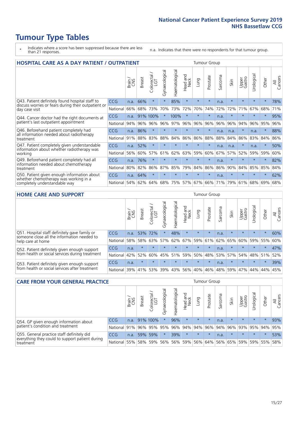# **Tumour Type Tables**

- \* Indicates where a score has been suppressed because there are less than 21 responses.
- n.a. Indicates that there were no respondents for that tumour group.

| <b>HOSPITAL CARE AS A DAY PATIENT / OUTPATIENT</b><br><b>Tumour Group</b>                                             |            |       |               |                         |                |                |                         |         |          |             |         |                 |            |         |                |
|-----------------------------------------------------------------------------------------------------------------------|------------|-------|---------------|-------------------------|----------------|----------------|-------------------------|---------|----------|-------------|---------|-----------------|------------|---------|----------------|
|                                                                                                                       |            | Brain | <b>Breast</b> | olorectal /<br>LGT<br>Ũ | Gynaecological | Haematological | aad and<br>Neck<br>Head | Lung    | Prostate | arcoma<br>S | Skin    | Upper<br>Gastro | Jrological | Other   | All<br>Cancers |
| Q43. Patient definitely found hospital staff to                                                                       | CCG        | n.a.  | 66%           | $\star$                 | $\star$        | 85%            | $\star$                 | $\star$ | $\star$  | n.a.        | $\star$ | $\star$         | $\star$    | $\star$ | 78%            |
| discuss worries or fears during their outpatient or<br>day case visit                                                 | National   | 66%   | 68%           | 73%                     | 70%            | 73%            | 72%                     | 70%     | 74%      | 72%         | 72%     | 71%             | 67%        | 68%     | 71%            |
| Q44. Cancer doctor had the right documents at<br>patient's last outpatient appointment                                | <b>CCG</b> | n.a.  | 91%           | 100%                    | $\star$        | 100%           | $\star$                 | $\star$ | $\star$  | n.a.        |         |                 | $\star$    | $\ast$  | 95%            |
|                                                                                                                       | National   | 94%   | 96%           | 96%                     | 96%            | 97%            | 96%                     | 96%     | 96%      | 96%         | 96%     | 94%             | 96%        | 95%     | 96%            |
| Q46. Beforehand patient completely had                                                                                | CCG        | n.a.  | 86%           | $\star$                 |                |                | $\star$                 | $\star$ | $\star$  | n.a.        | n.a.    | $\star$         | n.a.       | $\star$ | 88%            |
| all information needed about radiotherapy<br>treatment                                                                | National   | 91%   | 88%           | 83%                     | 88%            | 84%            | 86%                     | 86%     | 88%      | 88%         | 84%     | 86%             | 83%        | 84%     | 86%            |
| Q47. Patient completely given understandable<br>information about whether radiotherapy was                            | CCG        | n.a.  | 52%           | $\star$                 | $\star$        |                | $\star$                 | $\star$ | $\star$  | n.a.        | n.a.    | $\star$         | n.a.       | $\star$ | 50%            |
| working                                                                                                               | National   | 56%   | 60%           | 57%                     | 61%            | 62%            | 63%                     | 59%     | 60%      | 67%         | 57%     | 52%             | 59%        | 59%     | 60%            |
| Q49. Beforehand patient completely had all                                                                            | CCG        | n.a.  | 76%           | $\star$                 | $\star$        | $\star$        | $\star$                 | $\star$ | $\star$  | n.a.        | $\star$ | $\star$         | $\star$    | $\ast$  | 82%            |
| information needed about chemotherapy<br>treatment                                                                    | National   | 80%   | 82%           | 86%                     | 87%            | 85%            | 79%                     | 84%     | 86%      | 86%         | 90%     | 84%             | 85%        | 85%     | 84%            |
| Q50. Patient given enough information about<br>whether chemotherapy was working in a<br>completely understandable way | <b>CCG</b> | n.a.  | 64%           | $\star$                 |                |                | $\star$                 | $\star$ | $\star$  | n.a.        | $\star$ |                 |            | $\star$ | 62%            |
|                                                                                                                       | National   | 54%   | 62%           | 64%                     | 68%            | 75%            |                         | 57% 67% | 66%      | 71%         | 79%     | 61%             | 68%        | 69%     | 68%            |

#### **HOME CARE AND SUPPORT** Tumour Group

|                                                                                                                   |            | Brain | <b>Breast</b> | Colorectal<br>LGT | ᢛ<br>Gynaecologic | Haematological | Head and<br>Neck | <b>Dung</b>         | Prostate | Sarcoma | Skin    | Upper<br>Gastro | Urological  | Other   | All<br>Cancers |
|-------------------------------------------------------------------------------------------------------------------|------------|-------|---------------|-------------------|-------------------|----------------|------------------|---------------------|----------|---------|---------|-----------------|-------------|---------|----------------|
| Q51. Hospital staff definitely gave family or<br>someone close all the information needed to<br>help care at home | <b>CCG</b> | n.a.  | 53% 72%       |                   |                   | 48%            | $\star$          | $\star$             | $\star$  | n.a.    | $\star$ | $\star$         | $\star$     | $\star$ | 60%            |
|                                                                                                                   | National   | 58%   | 58%           | 63%               |                   |                |                  | 57% 62% 67% 59% 61% |          |         | 62% 65% | 60%             | 59% 55%     |         | 60%            |
| Q52. Patient definitely given enough support<br>from health or social services during treatment                   | <b>CCG</b> | n.a.  | $\star$       | $\star$           | $\star$           |                | $\star$          | $\star$             | $\star$  | n.a.    | $\star$ | $\star$         | $\star$     | $\star$ | 47%            |
|                                                                                                                   | National   | 42%   | 52%           | 60%               |                   | 45% 51%        | 59%              | 50%                 | 48%      |         | 53% 57% |                 | 54% 48% 51% |         | 52%            |
| Q53. Patient definitely given enough support<br>from health or social services after treatment                    | <b>CCG</b> | n.a.  | $\star$       |                   | $\star$           |                | $\star$          | $\star$             | $\star$  | n.a.    | $\star$ | $\star$         | $\star$     | $\star$ | 39%            |
|                                                                                                                   | National l | 39%   | 41% 53%       |                   | 39%               | $ 43\% $       | 56%              | 40%                 | 46%      | 48%     | 59%     | 47%             | 44%         | 44%     | 45%            |

| <b>CARE FROM YOUR GENERAL PRACTICE</b>                                                                     |                      |       |               |                   |                |                   |                  |         | Tumour Group                |         |         |                     |           |         |                |  |  |  |  |  |  |
|------------------------------------------------------------------------------------------------------------|----------------------|-------|---------------|-------------------|----------------|-------------------|------------------|---------|-----------------------------|---------|---------|---------------------|-----------|---------|----------------|--|--|--|--|--|--|
|                                                                                                            |                      | Brain | <b>Breast</b> | Colorectal<br>LGT | Gynaecological | ক<br>Haematologic | Head and<br>Neck | Lung    | Prostate                    | Sarcoma | Skin    | Upper<br>Gastro     | Urologica | Other   | All<br>Cancers |  |  |  |  |  |  |
| Q54. GP given enough information about<br>patient's condition and treatment                                | <b>CCG</b>           | n.a.  |               | 91% 100%          | $\star$        | 96%               | $\star$          | $\star$ | $\star$                     | n.a.    | $\star$ | $\star$             | $\star$   | $\star$ | 93%            |  |  |  |  |  |  |
|                                                                                                            | National 91% 96% 95% |       |               |                   | 95%            |                   | 96% 94% 94% 96%  |         |                             |         |         | 94% 96% 93% 95% 94% |           |         | 95%            |  |  |  |  |  |  |
| Q55. General practice staff definitely did<br>everything they could to support patient during<br>treatment | <b>CCG</b>           | n.a.  | 59%           | 59%               | $\star$        | 39%               | $\star$          | $\star$ | $\star$                     | n.a.    | $\star$ | $\star$             | $\star$   | $\star$ | 53%            |  |  |  |  |  |  |
|                                                                                                            | National             | 55%   |               | 58% 59%           | 56%            |                   | 56% 59%          |         | 56% 64% 56% 65% 59% 59% 55% |         |         |                     |           |         | 58%            |  |  |  |  |  |  |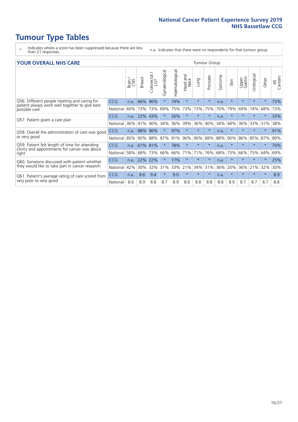# **Tumour Type Tables**

- \* Indicates where a score has been suppressed because there are less than 21 responses.
- n.a. Indicates that there were no respondents for that tumour group.

#### **YOUR OVERALL NHS CARE** THE CONSTRUCTION OF THE THROUP GROUP TUMOUR GROUP

| UN V V LIVALL IVI 19 GAINL                                                                               |            |       |               |                             |                |                |                         |         |          |                      |         |                 |                |          |                |  |  |  |  |
|----------------------------------------------------------------------------------------------------------|------------|-------|---------------|-----------------------------|----------------|----------------|-------------------------|---------|----------|----------------------|---------|-----------------|----------------|----------|----------------|--|--|--|--|
|                                                                                                          |            | Brain | <b>Breast</b> | olorectal.<br>LGT<br>$\cup$ | Gynaecological | Haematological | aad and<br>Neck<br>Head | Lung    | Prostate | arcoma<br>$\sqrt{ }$ | Skin    | Upper<br>Gastro | लु<br>Urologia | Other    | All<br>Cancers |  |  |  |  |
| Q56. Different people treating and caring for                                                            | <b>CCG</b> | n.a.  | 66%           | 96%                         |                | 74%            | $\star$                 | $\star$ | $\star$  | n.a.                 | $\star$ | $\star$         |                | $\ast$   | 73%            |  |  |  |  |
| patient always work well together to give best<br>possible care                                          | National   | 60%   | 73%           | 73%                         | 69%            | 75%            | 73%                     | 73%     | 75%      | 70%                  | 79%     | 69%             | 74%            | 68%      | 73%            |  |  |  |  |
| Q57. Patient given a care plan                                                                           | <b>CCG</b> | n.a.  | 22%           | 43%                         |                | 26%            | $\star$                 | $\star$ | $\star$  | n.a.                 | $\star$ |                 |                | $^\star$ | 33%            |  |  |  |  |
|                                                                                                          | National   | 36%   | 41%           | 40%                         | 34%            | 36%            | 39%                     | 36%     | 40%      | 34%                  | 44%     | 36%             | 33%            | 31%      | 38%            |  |  |  |  |
| Q58. Overall the administration of care was good<br>or very good                                         | <b>CCG</b> | n.a.  | 88%           | 96%                         |                | 97%            | $\ast$                  | $\star$ | $\star$  | n.a.                 | $\star$ |                 |                | $\star$  | 91%            |  |  |  |  |
|                                                                                                          | National   | 85%   | 90%           | 88%                         | 87%            | 91%            | 90%                     | 90%     | 88%      | 88%                  | 90%     | 86%             | 85%            | 87%      | 89%            |  |  |  |  |
| Q59. Patient felt length of time for attending<br>clinics and appointments for cancer was about<br>right | CCG        | n.a.  |               | 61% 81%                     |                | 78%            | $\star$                 | $\star$ | $\star$  | n.a.                 | $\star$ |                 |                | $\ast$   | 70%            |  |  |  |  |
|                                                                                                          | National   | 58%   | 68%           | 73%                         | 66%            |                | 66% 71%                 | 71%     | 76%      | 68%                  | 73%     | 66%             | 75%            | 64%      | 69%            |  |  |  |  |
| Q60. Someone discussed with patient whether                                                              | <b>CCG</b> | n.a.  | 22%           | 22%                         |                | 17%            | $\star$                 | $\star$ | $\star$  | n.a.                 | $\star$ |                 |                | $\star$  | 25%            |  |  |  |  |
| they would like to take part in cancer research                                                          | National   | 42%   | 30%           | 32%                         | 31%            |                | 33% 21%                 | 34%     | 31%      | 36%                  | 20%     | 36%             | 21%            | 32%      | 30%            |  |  |  |  |
| Q61. Patient's average rating of care scored from<br>very poor to very good                              | <b>CCG</b> | n.a.  | 8.6           | 9.4                         | $\star$        | 9.0            | $\star$                 | $\star$ | $\star$  | n.a.                 | $\star$ | $\star$         | $\star$        | $\star$  | 8.9            |  |  |  |  |
|                                                                                                          | National   | 8.6   | 8.9           | 8.8                         | 8.7            | 8.9            | 8.8                     | 8.8     | 8.8      | 8.8                  | 8.9     | 8.7             | 8.7            | 8.7      | 8.8            |  |  |  |  |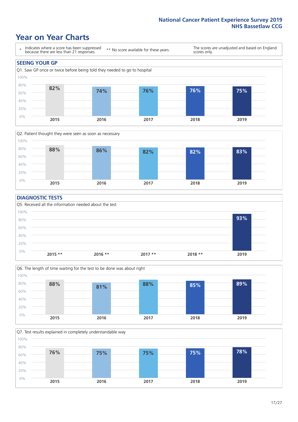### **Year on Year Charts**





#### **DIAGNOSTIC TESTS**





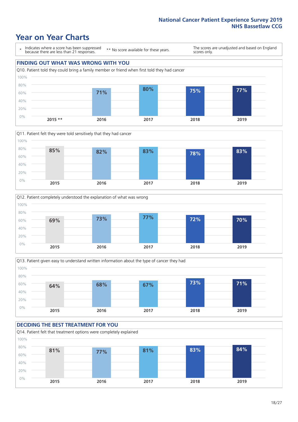## **Year on Year Charts**

\* Indicates where a score has been suppressed because there are less than 21 responses.

\*\* No score available for these years.

The scores are unadjusted and based on England scores only.









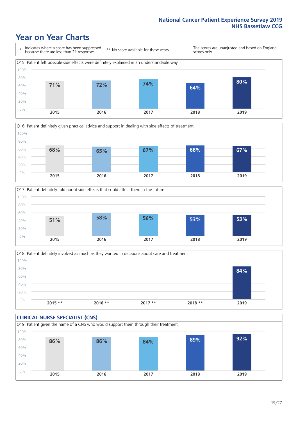## **Year on Year Charts**







Q18. Patient definitely involved as much as they wanted in decisions about care and treatment  $0%$ 20% 40% 60% 80% 100% **2015 \*\* 2016 \*\* 2017 \*\* 2018 \*\* 2019 84%**

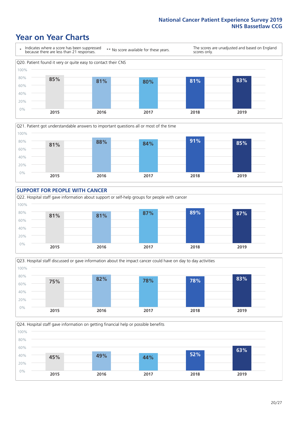### **Year on Year Charts**











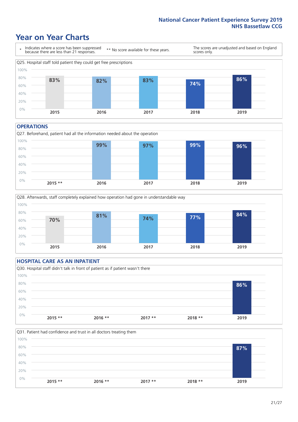### **Year on Year Charts**



#### **OPERATIONS**





### **HOSPITAL CARE AS AN INPATIENT** Q30. Hospital staff didn't talk in front of patient as if patient wasn't there 0% 20% 40% 60% 80% 100% **2015 \*\* 2016 \*\* 2017 \*\* 2018 \*\* 2019 86%**

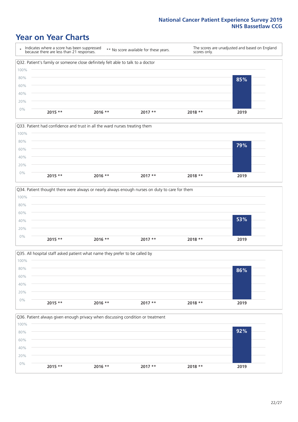### **Year on Year Charts**







Q35. All hospital staff asked patient what name they prefer to be called by  $0%$ 20% 40% 60% 80% 100% **2015 \*\* 2016 \*\* 2017 \*\* 2018 \*\* 2019 86%**

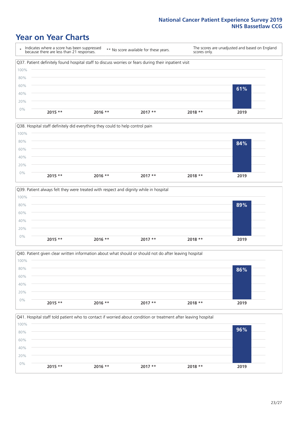### **Year on Year Charts**

\* Indicates where a score has been suppressed because there are less than 21 responses. \*\* No score available for these years. The scores are unadjusted and based on England scores only. Q37. Patient definitely found hospital staff to discuss worries or fears during their inpatient visit 0% 20% 40% 60% 80% 100% **2015 \*\* 2016 \*\* 2017 \*\* 2018 \*\* 2019 61%**







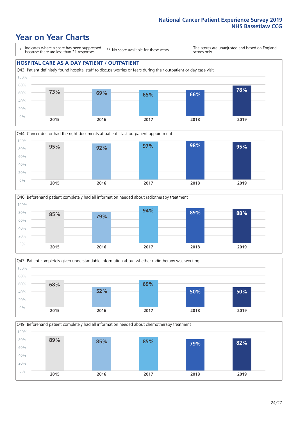### **Year on Year Charts**

\* Indicates where a score has been suppressed because there are less than 21 responses.

\*\* No score available for these years.

The scores are unadjusted and based on England scores only.

#### **HOSPITAL CARE AS A DAY PATIENT / OUTPATIENT**









Q49. Beforehand patient completely had all information needed about chemotherapy treatment

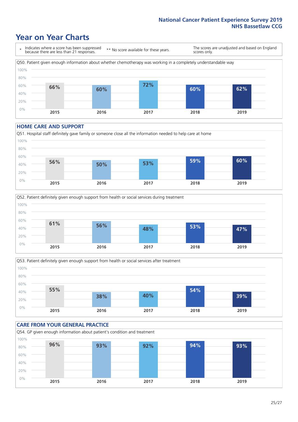## **Year on Year Charts**

\* Indicates where a score has been suppressed because there are less than 21 responses. \*\* No score available for these years. The scores are unadjusted and based on England scores only. Q50. Patient given enough information about whether chemotherapy was working in a completely understandable way 0% 20% 40% 60% 80% 100% **2015 2016 2017 2018 2019 66% 60% 72% 60% 62%**

#### **HOME CARE AND SUPPORT**







### **CARE FROM YOUR GENERAL PRACTICE** Q54. GP given enough information about patient's condition and treatment 0% 20% 40% 60% 80% 100% **2015 2016 2017 2018 2019 96% 93% 92% 94% 93%**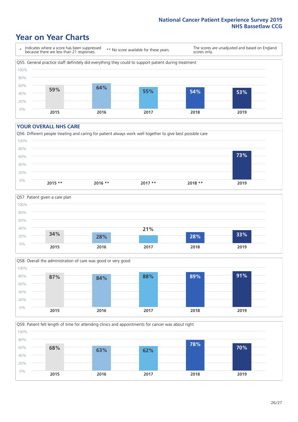### **Year on Year Charts**

\* Indicates where a score has been suppressed because there are less than 21 responses.

\*\* No score available for these years.

The scores are unadjusted and based on England scores only.



#### **YOUR OVERALL NHS CARE**







Q59. Patient felt length of time for attending clinics and appointments for cancer was about right